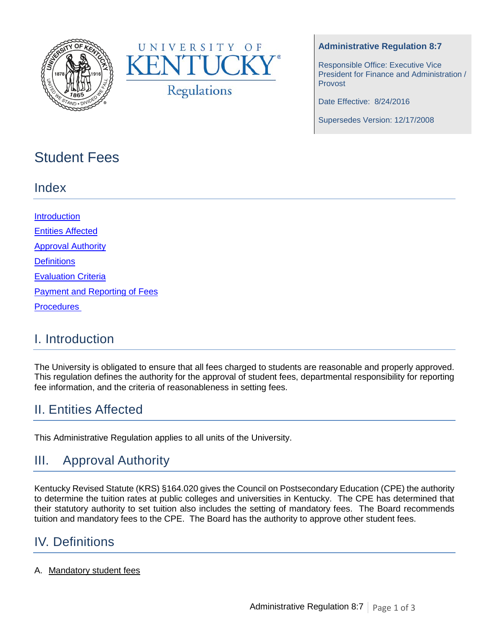



### **Administrative Regulation 8:7**

Responsible Office: Executive Vice President for Finance and Administration / Provost

Date Effective: 8/24/2016

Supersedes Version: 12/17/2008

# Student Fees

## Index

**[Introduction](#page-0-0)** [Entities Affected](#page-0-1) **[Approval Authority](#page-0-2) [Definitions](#page-0-3)** [Evaluation Criteria](#page-1-0) [Payment and Reporting of Fees](#page-2-0) **Procedures** 

## <span id="page-0-0"></span>I. Introduction

The University is obligated to ensure that all fees charged to students are reasonable and properly approved. This regulation defines the authority for the approval of student fees, departmental responsibility for reporting fee information, and the criteria of reasonableness in setting fees.

# <span id="page-0-1"></span>II. Entities Affected

This Administrative Regulation applies to all units of the University.

# <span id="page-0-2"></span>III. Approval Authority

Kentucky Revised Statute (KRS) §164.020 gives the Council on Postsecondary Education (CPE) the authority to determine the tuition rates at public colleges and universities in Kentucky. The CPE has determined that their statutory authority to set tuition also includes the setting of mandatory fees. The Board recommends tuition and mandatory fees to the CPE. The Board has the authority to approve other student fees.

# <span id="page-0-3"></span>IV. Definitions

### A. Mandatory student fees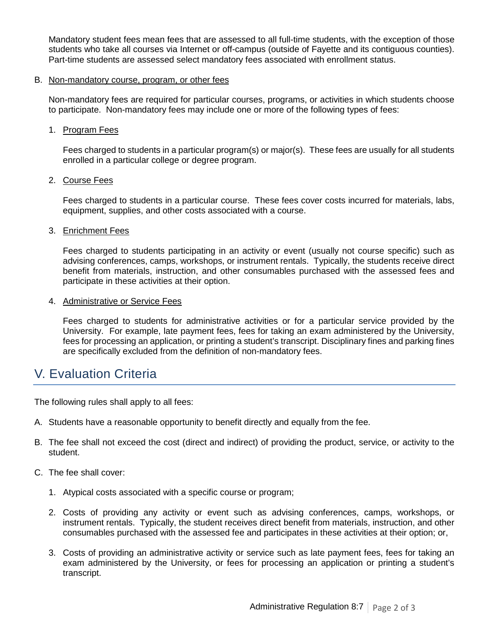Mandatory student fees mean fees that are assessed to all full-time students, with the exception of those students who take all courses via Internet or off-campus (outside of Fayette and its contiguous counties). Part-time students are assessed select mandatory fees associated with enrollment status.

#### B. Non-mandatory course, program, or other fees

Non-mandatory fees are required for particular courses, programs, or activities in which students choose to participate. Non-mandatory fees may include one or more of the following types of fees:

1. Program Fees

Fees charged to students in a particular program(s) or major(s). These fees are usually for all students enrolled in a particular college or degree program.

#### 2. Course Fees

Fees charged to students in a particular course. These fees cover costs incurred for materials, labs, equipment, supplies, and other costs associated with a course.

#### 3. Enrichment Fees

Fees charged to students participating in an activity or event (usually not course specific) such as advising conferences, camps, workshops, or instrument rentals. Typically, the students receive direct benefit from materials, instruction, and other consumables purchased with the assessed fees and participate in these activities at their option.

#### 4. Administrative or Service Fees

Fees charged to students for administrative activities or for a particular service provided by the University. For example, late payment fees, fees for taking an exam administered by the University, fees for processing an application, or printing a student's transcript. Disciplinary fines and parking fines are specifically excluded from the definition of non-mandatory fees.

## <span id="page-1-0"></span>V. Evaluation Criteria

The following rules shall apply to all fees:

- A. Students have a reasonable opportunity to benefit directly and equally from the fee.
- B. The fee shall not exceed the cost (direct and indirect) of providing the product, service, or activity to the student.
- C. The fee shall cover:
	- 1. Atypical costs associated with a specific course or program;
	- 2. Costs of providing any activity or event such as advising conferences, camps, workshops, or instrument rentals. Typically, the student receives direct benefit from materials, instruction, and other consumables purchased with the assessed fee and participates in these activities at their option; or,
	- 3. Costs of providing an administrative activity or service such as late payment fees, fees for taking an exam administered by the University, or fees for processing an application or printing a student's transcript.